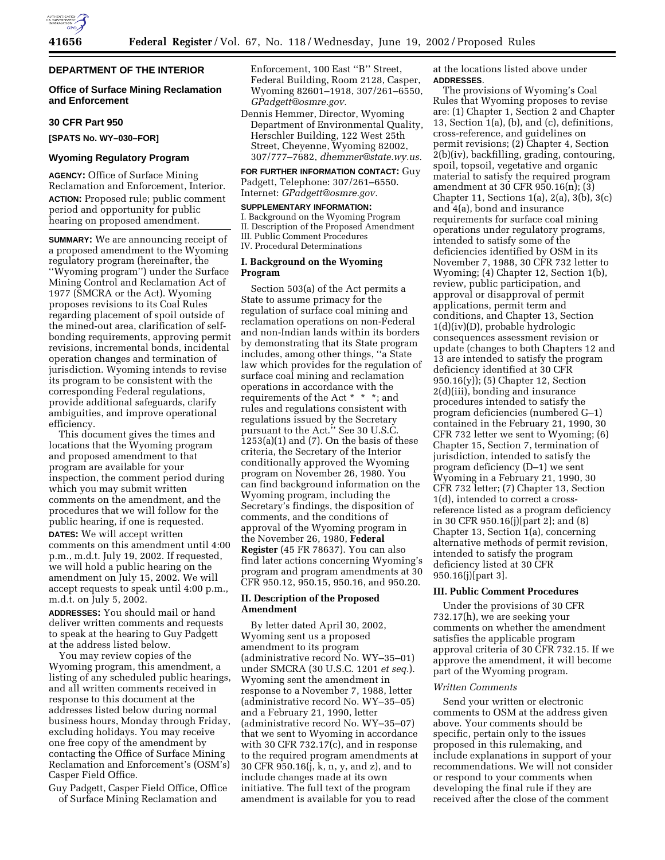

# **DEPARTMENT OF THE INTERIOR**

# **Office of Surface Mining Reclamation and Enforcement**

### **30 CFR Part 950**

**[SPATS No. WY–030–FOR]** 

#### **Wyoming Regulatory Program**

**AGENCY:** Office of Surface Mining Reclamation and Enforcement, Interior. **ACTION:** Proposed rule; public comment period and opportunity for public hearing on proposed amendment.

**SUMMARY:** We are announcing receipt of a proposed amendment to the Wyoming regulatory program (hereinafter, the ''Wyoming program'') under the Surface Mining Control and Reclamation Act of 1977 (SMCRA or the Act). Wyoming proposes revisions to its Coal Rules regarding placement of spoil outside of the mined-out area, clarification of selfbonding requirements, approving permit revisions, incremental bonds, incidental operation changes and termination of jurisdiction. Wyoming intends to revise its program to be consistent with the corresponding Federal regulations, provide additional safeguards, clarify ambiguities, and improve operational efficiency.

This document gives the times and locations that the Wyoming program and proposed amendment to that program are available for your inspection, the comment period during which you may submit written comments on the amendment, and the procedures that we will follow for the public hearing, if one is requested.

**DATES:** We will accept written comments on this amendment until 4:00 p.m., m.d.t. July 19, 2002. If requested, we will hold a public hearing on the amendment on July 15, 2002. We will accept requests to speak until 4:00 p.m., m.d.t. on July 5, 2002.

**ADDRESSES:** You should mail or hand deliver written comments and requests to speak at the hearing to Guy Padgett at the address listed below.

You may review copies of the Wyoming program, this amendment, a listing of any scheduled public hearings, and all written comments received in response to this document at the addresses listed below during normal business hours, Monday through Friday, excluding holidays. You may receive one free copy of the amendment by contacting the Office of Surface Mining Reclamation and Enforcement's (OSM's) Casper Field Office.

Guy Padgett, Casper Field Office, Office of Surface Mining Reclamation and

Enforcement, 100 East ''B'' Street, Federal Building, Room 2128, Casper, Wyoming 82601–1918, 307/261–6550, *GPadgett@osmre.gov.*

Dennis Hemmer, Director, Wyoming Department of Environmental Quality, Herschler Building, 122 West 25th Street, Cheyenne, Wyoming 82002, 307/777–7682, *dhemmer@state.wy.us.*

**FOR FURTHER INFORMATION CONTACT:** Guy Padgett, Telephone: 307/261–6550. Internet: *GPadgett@osmre.gov.*

### **SUPPLEMENTARY INFORMATION:**

I. Background on the Wyoming Program II. Description of the Proposed Amendment III. Public Comment Procedures IV. Procedural Determinations

# **I. Background on the Wyoming Program**

Section 503(a) of the Act permits a State to assume primacy for the regulation of surface coal mining and reclamation operations on non-Federal and non-Indian lands within its borders by demonstrating that its State program includes, among other things, ''a State law which provides for the regulation of surface coal mining and reclamation operations in accordance with the requirements of the Act \* \* \*; and rules and regulations consistent with regulations issued by the Secretary pursuant to the Act." See 30 U.S.C.  $1253(a)(1)$  and  $(7)$ . On the basis of these criteria, the Secretary of the Interior conditionally approved the Wyoming program on November 26, 1980. You can find background information on the Wyoming program, including the Secretary's findings, the disposition of comments, and the conditions of approval of the Wyoming program in the November 26, 1980, **Federal Register** (45 FR 78637). You can also find later actions concerning Wyoming's program and program amendments at 30 CFR 950.12, 950.15, 950.16, and 950.20.

# **II. Description of the Proposed Amendment**

By letter dated April 30, 2002, Wyoming sent us a proposed amendment to its program (administrative record No. WY–35–01) under SMCRA (30 U.S.C. 1201 *et seq.*). Wyoming sent the amendment in response to a November 7, 1988, letter (administrative record No. WY–35–05) and a February 21, 1990, letter (administrative record No. WY–35–07) that we sent to Wyoming in accordance with 30 CFR 732.17(c), and in response to the required program amendments at 30 CFR 950.16(j, k, n, y, and z), and to include changes made at its own initiative. The full text of the program amendment is available for you to read

at the locations listed above under **ADDRESSES**.

The provisions of Wyoming's Coal Rules that Wyoming proposes to revise are: (1) Chapter 1, Section 2 and Chapter 13, Section 1(a), (b), and (c), definitions, cross-reference, and guidelines on permit revisions; (2) Chapter 4, Section 2(b)(iv), backfilling, grading, contouring, spoil, topsoil, vegetative and organic material to satisfy the required program amendment at 30 CFR 950.16(n); (3) Chapter 11, Sections 1(a), 2(a), 3(b), 3(c) and 4(a), bond and insurance requirements for surface coal mining operations under regulatory programs, intended to satisfy some of the deficiencies identified by OSM in its November 7, 1988, 30 CFR 732 letter to Wyoming; (4) Chapter 12, Section 1(b), review, public participation, and approval or disapproval of permit applications, permit term and conditions, and Chapter 13, Section 1(d)(iv)(D), probable hydrologic consequences assessment revision or update (changes to both Chapters 12 and 13 are intended to satisfy the program deficiency identified at 30 CFR 950.16(y)); (5) Chapter 12, Section 2(d)(iii), bonding and insurance procedures intended to satisfy the program deficiencies (numbered G–1) contained in the February 21, 1990, 30 CFR 732 letter we sent to Wyoming; (6) Chapter 15, Section 7, termination of jurisdiction, intended to satisfy the program deficiency (D–1) we sent Wyoming in a February 21, 1990, 30 CFR 732 letter; (7) Chapter 13, Section 1(d), intended to correct a crossreference listed as a program deficiency in 30 CFR 950.16(j)[part 2]; and (8) Chapter 13, Section 1(a), concerning alternative methods of permit revision, intended to satisfy the program deficiency listed at 30 CFR 950.16(j)[part 3].

# **III. Public Comment Procedures**

Under the provisions of 30 CFR 732.17(h), we are seeking your comments on whether the amendment satisfies the applicable program approval criteria of 30 CFR 732.15. If we approve the amendment, it will become part of the Wyoming program.

#### *Written Comments*

Send your written or electronic comments to OSM at the address given above. Your comments should be specific, pertain only to the issues proposed in this rulemaking, and include explanations in support of your recommendations. We will not consider or respond to your comments when developing the final rule if they are received after the close of the comment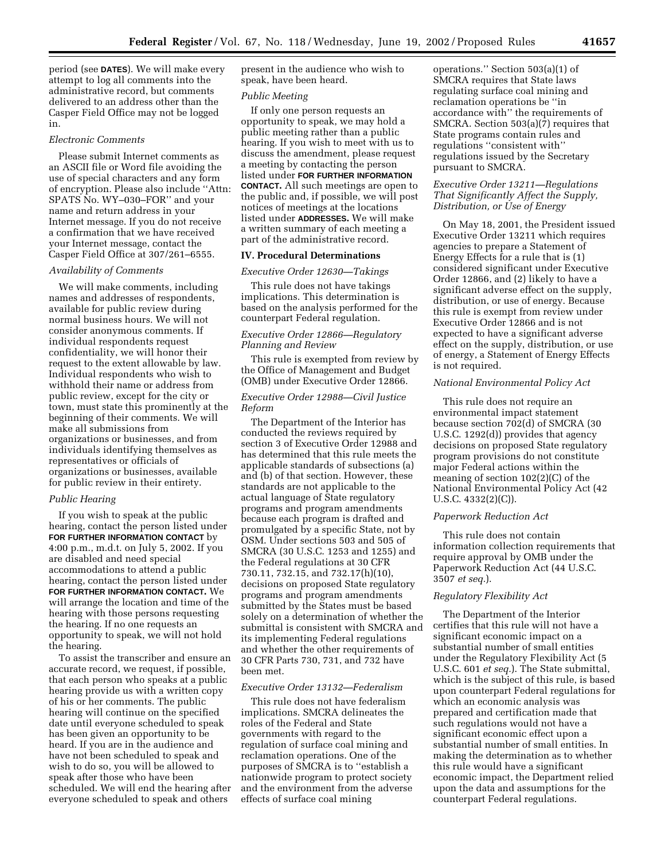period (see **DATES**). We will make every attempt to log all comments into the administrative record, but comments delivered to an address other than the Casper Field Office may not be logged in.

### *Electronic Comments*

Please submit Internet comments as an ASCII file or Word file avoiding the use of special characters and any form of encryption. Please also include ''Attn: SPATS No. WY–030–FOR'' and your name and return address in your Internet message. If you do not receive a confirmation that we have received your Internet message, contact the Casper Field Office at 307/261–6555.

# *Availability of Comments*

We will make comments, including names and addresses of respondents, available for public review during normal business hours. We will not consider anonymous comments. If individual respondents request confidentiality, we will honor their request to the extent allowable by law. Individual respondents who wish to withhold their name or address from public review, except for the city or town, must state this prominently at the beginning of their comments. We will make all submissions from organizations or businesses, and from individuals identifying themselves as representatives or officials of organizations or businesses, available for public review in their entirety.

#### *Public Hearing*

If you wish to speak at the public hearing, contact the person listed under **FOR FURTHER INFORMATION CONTACT** by 4:00 p.m., m.d.t. on July 5, 2002. If you are disabled and need special accommodations to attend a public hearing, contact the person listed under **FOR FURTHER INFORMATION CONTACT.** We will arrange the location and time of the hearing with those persons requesting the hearing. If no one requests an opportunity to speak, we will not hold the hearing.

To assist the transcriber and ensure an accurate record, we request, if possible, that each person who speaks at a public hearing provide us with a written copy of his or her comments. The public hearing will continue on the specified date until everyone scheduled to speak has been given an opportunity to be heard. If you are in the audience and have not been scheduled to speak and wish to do so, you will be allowed to speak after those who have been scheduled. We will end the hearing after everyone scheduled to speak and others

present in the audience who wish to speak, have been heard.

#### *Public Meeting*

If only one person requests an opportunity to speak, we may hold a public meeting rather than a public hearing. If you wish to meet with us to discuss the amendment, please request a meeting by contacting the person listed under **FOR FURTHER INFORMATION CONTACT.** All such meetings are open to the public and, if possible, we will post notices of meetings at the locations listed under **ADDRESSES.** We will make a written summary of each meeting a part of the administrative record.

# **IV. Procedural Determinations**

#### *Executive Order 12630—Takings*

This rule does not have takings implications. This determination is based on the analysis performed for the counterpart Federal regulation.

# *Executive Order 12866—Regulatory Planning and Review*

This rule is exempted from review by the Office of Management and Budget (OMB) under Executive Order 12866.

# *Executive Order 12988—Civil Justice Reform*

The Department of the Interior has conducted the reviews required by section 3 of Executive Order 12988 and has determined that this rule meets the applicable standards of subsections (a) and (b) of that section. However, these standards are not applicable to the actual language of State regulatory programs and program amendments because each program is drafted and promulgated by a specific State, not by OSM. Under sections 503 and 505 of SMCRA (30 U.S.C. 1253 and 1255) and the Federal regulations at 30 CFR 730.11, 732.15, and 732.17(h)(10), decisions on proposed State regulatory programs and program amendments submitted by the States must be based solely on a determination of whether the submittal is consistent with SMCRA and its implementing Federal regulations and whether the other requirements of 30 CFR Parts 730, 731, and 732 have been met.

#### *Executive Order 13132—Federalism*

This rule does not have federalism implications. SMCRA delineates the roles of the Federal and State governments with regard to the regulation of surface coal mining and reclamation operations. One of the purposes of SMCRA is to ''establish a nationwide program to protect society and the environment from the adverse effects of surface coal mining

operations.'' Section 503(a)(1) of SMCRA requires that State laws regulating surface coal mining and reclamation operations be ''in accordance with'' the requirements of SMCRA. Section  $503(a)(7)$  requires that State programs contain rules and regulations ''consistent with'' regulations issued by the Secretary pursuant to SMCRA.

# *Executive Order 13211—Regulations That Significantly Affect the Supply, Distribution, or Use of Energy*

On May 18, 2001, the President issued Executive Order 13211 which requires agencies to prepare a Statement of Energy Effects for a rule that is (1) considered significant under Executive Order 12866, and (2) likely to have a significant adverse effect on the supply, distribution, or use of energy. Because this rule is exempt from review under Executive Order 12866 and is not expected to have a significant adverse effect on the supply, distribution, or use of energy, a Statement of Energy Effects is not required.

# *National Environmental Policy Act*

This rule does not require an environmental impact statement because section 702(d) of SMCRA (30 U.S.C. 1292(d)) provides that agency decisions on proposed State regulatory program provisions do not constitute major Federal actions within the meaning of section 102(2)(C) of the National Environmental Policy Act (42 U.S.C. 4332(2)(C)).

#### *Paperwork Reduction Act*

This rule does not contain information collection requirements that require approval by OMB under the Paperwork Reduction Act (44 U.S.C. 3507 *et seq.*).

#### *Regulatory Flexibility Act*

The Department of the Interior certifies that this rule will not have a significant economic impact on a substantial number of small entities under the Regulatory Flexibility Act (5 U.S.C. 601 *et seq.*). The State submittal, which is the subject of this rule, is based upon counterpart Federal regulations for which an economic analysis was prepared and certification made that such regulations would not have a significant economic effect upon a substantial number of small entities. In making the determination as to whether this rule would have a significant economic impact, the Department relied upon the data and assumptions for the counterpart Federal regulations.